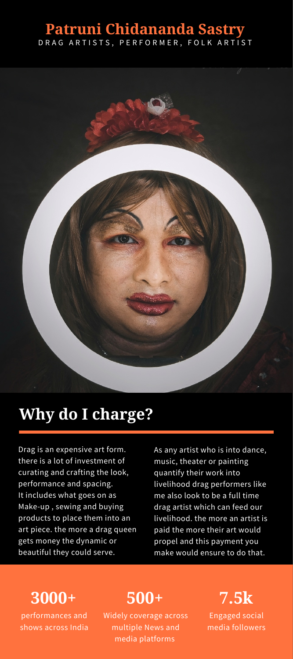#### **Patruni Chidananda Sastry** D R A G A R T I S T S, P E R F O R M E R , F O L K A R T I S T



## **Why do I charge?**

Drag is an expensive art form. there is a lot of investment of curating and crafting the look, performance and spacing. It includes what goes on as Make-up , sewing and buying products to place them into an art piece. the more a drag queen gets money the dynamic or beautiful they could serve.

As any artist who is into dance, music, theater or painting quantify their work into livelihood drag performers like me also look to be a full time drag artist which can feed our livelihood. the more an artist is paid the more their art would propel and this payment you make would ensure to do that.

### **3000+**

performances and shows across India

#### **500+**

Widely coverage across multiple News and media platforms

Engaged social media followers **7.5k**